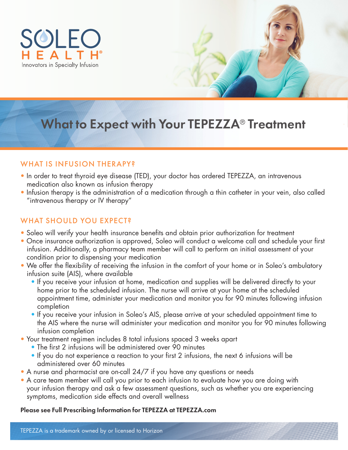

# What to Expect with Your TEPEZZA® Treatment

# WHAT IS INFUSION THERAPY?

- In order to treat thyroid eye disease (TED), your doctor has ordered TEPEZZA, an intravenous medication also known as infusion therapy
- Infusion therapy is the administration of a medication through a thin catheter in your vein, also called "intravenous therapy or IV therapy"

# WHAT SHOULD YOU EXPECT?

- Soleo will verify your health insurance benefits and obtain prior authorization for treatment
- Once insurance authorization is approved, Soleo will conduct a welcome call and schedule your first infusion. Additionally, a pharmacy team member will call to perform an initial assessment of your condition prior to dispensing your medication
- We offer the flexibility of receiving the infusion in the comfort of your home or in Soleo's ambulatory infusion suite (AIS), where available
	- If you receive your infusion at home, medication and supplies will be delivered directly to your home prior to the scheduled infusion. The nurse will arrive at your home at the scheduled appointment time, administer your medication and monitor you for 90 minutes following infusion completion
	- If you receive your infusion in Soleo's AIS, please arrive at your scheduled appointment time to the AIS where the nurse will administer your medication and monitor you for 90 minutes following infusion completion
- Your treatment regimen includes 8 total infusions spaced 3 weeks apart
	- The first 2 infusions will be administered over 90 minutes
	- If you do not experience a reaction to your first 2 infusions, the next 6 infusions will be administered over 60 minutes
- A nurse and pharmacist are on-call 24/7 if you have any questions or needs
- A care team member will call you prior to each infusion to evaluate how you are doing with your infusion therapy and ask a few assessment questions, such as whether you are experiencing symptoms, medication side effects and overall wellness

#### Please see Full Prescribing Information for TEPEZZA at TEPEZZA.com